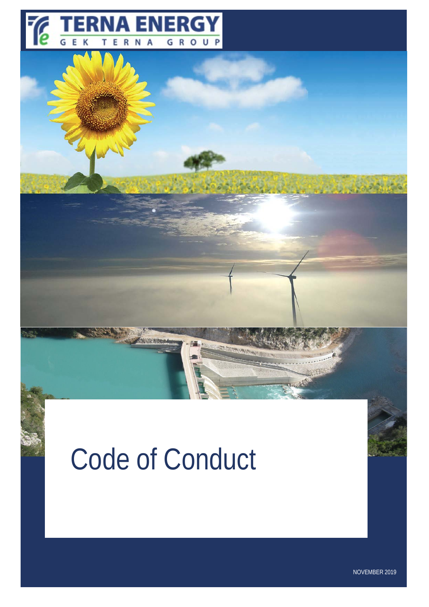

# Code of Conduct

NOVEMBER 2019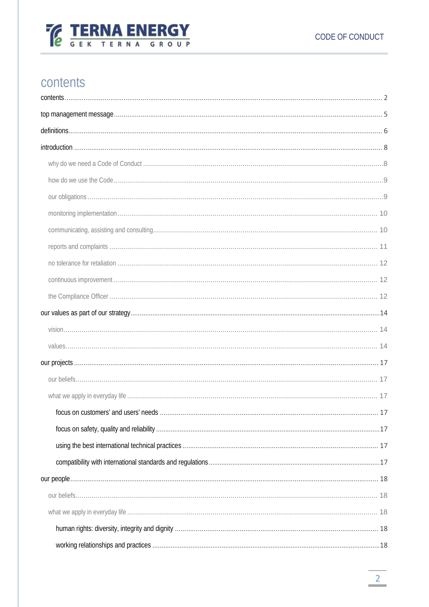

# <span id="page-1-0"></span>contents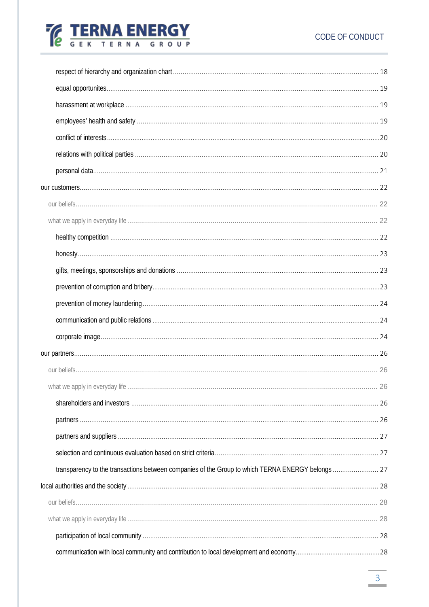# CODE OF CONDUCT

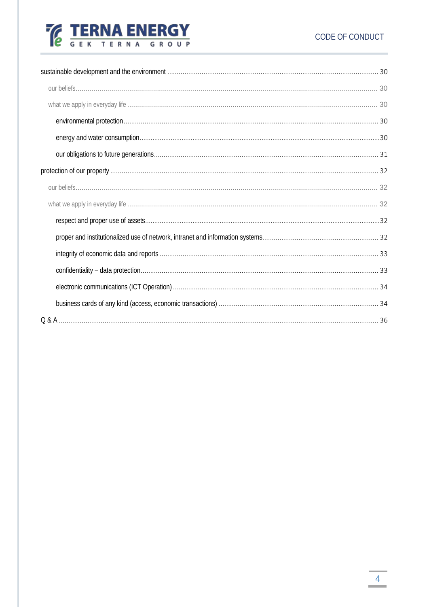# CODE OF CONDUCT

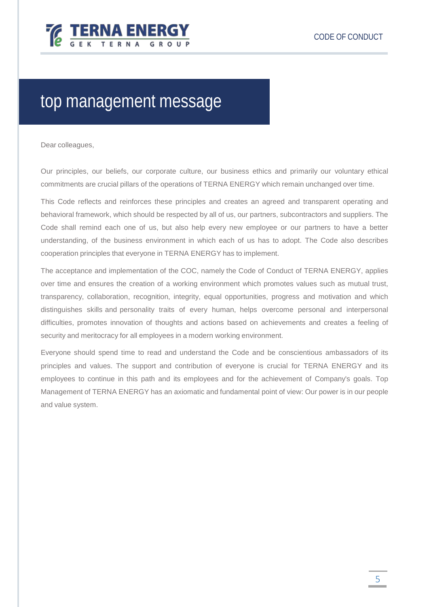

# <span id="page-4-0"></span>top management message

Dear colleagues,

Our principles, our beliefs, our corporate culture, our business ethics and primarily our voluntary ethical commitments are crucial pillars of the operations of TERNA ENERGY which remain unchanged over time.

This Code reflects and reinforces these principles and creates an agreed and transparent operating and behavioral framework, which should be respected by all of us, our partners, subcontractors and suppliers. The Code shall remind each one of us, but also help every new employee or our partners to have a better understanding, of the business environment in which each of us has to adopt. The Code also describes cooperation principles that everyone in TERNA ENERGY has to implement.

The acceptance and implementation of the COC, namely the Code of Conduct of TERNA ENERGY, applies over time and ensures the creation of a working environment which promotes values such as mutual trust, transparency, collaboration, recognition, integrity, equal opportunities, progress and motivation and which distinguishes skills and personality traits of every human, helps overcome personal and interpersonal difficulties, promotes innovation of thoughts and actions based on achievements and creates a feeling of security and meritocracy for all employees in a modern working environment.

Everyone should spend time to read and understand the Code and be conscientious ambassadors of its principles and values. The support and contribution of everyone is crucial for TERNA ENERGY and its employees to continue in this path and its employees and for the achievement of Company's goals. Top Management of TERNA ENERGY has an axiomatic and fundamental point of view: Our power is in our people and value system.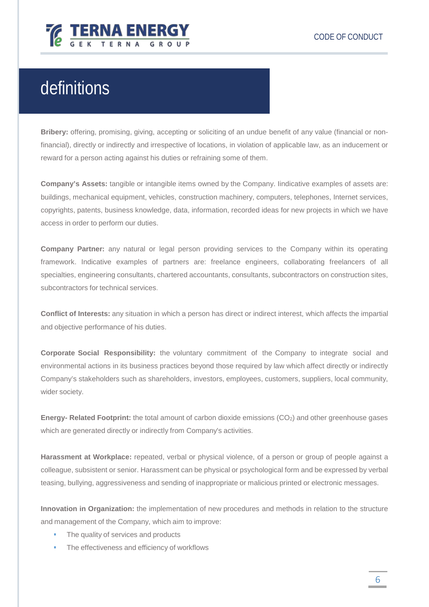

# <span id="page-5-0"></span>definitions

**Bribery:** offering, promising, giving, accepting or soliciting of an undue benefit of any value (financial or nonfinancial), directly or indirectly and irrespective of locations, in violation of applicable law, as an inducement or reward for a person acting against his duties or refraining some of them.

**Company's Assets:** tangible or intangible items owned by the Company. Iindicative examples of assets are: buildings, mechanical equipment, vehicles, construction machinery, computers, telephones, Internet services, copyrights, patents, business knowledge, data, information, recorded ideas for new projects in which we have access in order to perform our duties.

**Company Partner:** any natural or legal person providing services to the Company within its operating framework. Indicative examples of partners are: freelance engineers, collaborating freelancers of all specialties, engineering consultants, chartered accountants, consultants, subcontractors on construction sites, subcontractors for technical services.

**Conflict of Interests:** any situation in which a person has direct or indirect interest, which affects the impartial and objective performance of his duties.

**Corporate Social Responsibility:** the voluntary commitment of the Company to integrate social and environmental actions in its business practices beyond those required by law which affect directly or indirectly Company's stakeholders such as shareholders, investors, employees, customers, suppliers, local community, wider society.

**Energy- Related Footprint:** the total amount of carbon dioxide emissions (CO2) and other greenhouse gases which are generated directly or indirectly from Company's activities.

**Harassment at Workplace:** repeated, verbal or physical violence, of a person or group of people against a colleague, subsistent or senior. Harassment can be physical or psychological form and be expressed by verbal teasing, bullying, aggressiveness and sending of inappropriate or malicious printed or electronic messages.

**Innovation in Organization:** the implementation of new procedures and methods in relation to the structure and management of the Company, which aim to improve:

- The quality of services and products
- **The effectiveness and efficiency of workflows**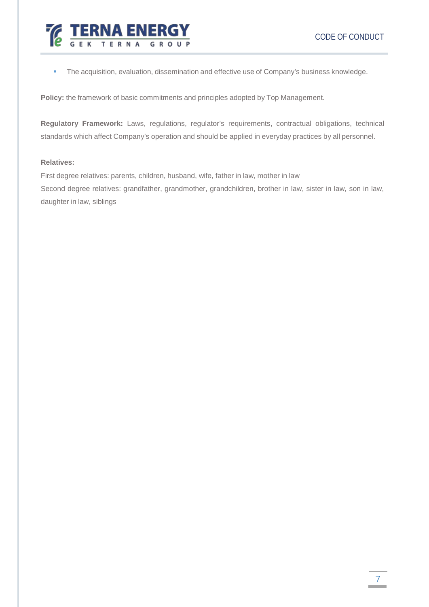

**The acquisition, evaluation, dissemination and effective use of Company's business knowledge.** 

**Policy:** the framework of basic commitments and principles adopted by Top Management.

**Regulatory Framework:** Laws, regulations, regulator's requirements, contractual obligations, technical standards which affect Company's operation and should be applied in everyday practices by all personnel.

#### **Relatives:**

First degree relatives: parents, children, husband, wife, father in law, mother in law Second degree relatives: grandfather, grandmother, grandchildren, brother in law, sister in law, son in law, daughter in law, siblings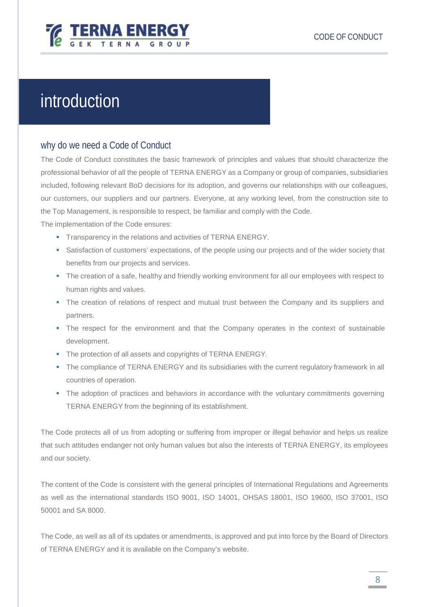

# <span id="page-7-0"></span>introduction

# <span id="page-7-1"></span>why do we need a Code of Conduct

The Code of Conduct constitutes the basic framework of principles and values that should characterize the professional behavior of all the people of TERNA ENERGY as a Company or group of companies, subsidiaries included, following relevant BoD decisions for its adoption, and governs our relationships with our colleagues, our customers, our suppliers and our partners. Everyone, at any working level, from the construction site to the Top Management, is responsible to respect, be familiar and comply with the Code.

The implementation of the Code ensures:

- **Transparency in the relations and activities of TERNA ENERGY.**
- **Satisfaction of customers' expectations, of the people using our projects and of the wider society that** benefits from our projects and services.
- The creation of a safe, healthy and friendly working environment for all our employees with respect to human rights and values.
- The creation of relations of respect and mutual trust between the Company and its suppliers and partners.
- The respect for the environment and that the Company operates in the context of sustainable development.
- The protection of all assets and copyrights of TERNA ENERGY.
- The compliance of TERNA ENERGY and its subsidiaries with the current regulatory framework in all countries of operation.
- The adoption of practices and behaviors in accordance with the voluntary commitments governing TERNA ENERGY from the beginning of its establishment.

The Code protects all of us from adopting or suffering from improper or illegal behavior and helps us realize that such attitudes endanger not only human values but also the interests of TERNA ENERGY, its employees and our society.

The content of the Code is consistent with the general principles of International Regulations and Agreements as well as the international standards ISO 9001, ISO 14001, OHSAS 18001, ISO 19600, ISO 37001, ISO 50001 and SA 8000.

The Code, as well as all of its updates or amendments, is approved and put into force by the Board of Directors of TERNA ENERGY and it is available on the Company's website.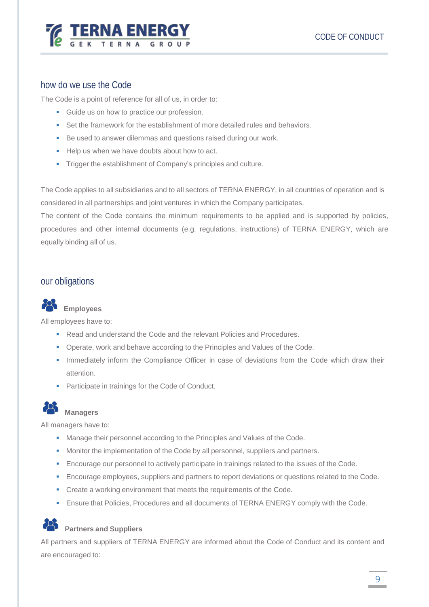

# <span id="page-8-0"></span>how do we use the Code

The Code is a point of reference for all of us, in order to:

- Guide us on how to practice our profession.
- Set the framework for the establishment of more detailed rules and behaviors.
- Be used to answer dilemmas and questions raised during our work.
- Help us when we have doubts about how to act.
- **Trigger the establishment of Company's principles and culture.**

The Code applies to all subsidiaries and to all sectors of TERNA ENERGY, in all countries of operation and is considered in all partnerships and joint ventures in which the Company participates.

The content of the Code contains the minimum requirements to be applied and is supported by policies, procedures and other internal documents (e.g. regulations, instructions) of TERNA ENERGY, which are equally binding all of us.

# <span id="page-8-1"></span>our obligations



## **Employees**

All employees have to:

- Read and understand the Code and the relevant Policies and Procedures.
- **Operate, work and behave according to the Principles and Values of the Code.**
- **Immediately inform the Compliance Officer in case of deviations from the Code which draw their** attention.
- **Participate in trainings for the Code of Conduct.**



### **Managers**

All managers have to:

- **Manage their personnel according to the Principles and Values of the Code.**
- **Monitor the implementation of the Code by all personnel, suppliers and partners.**
- **Encourage our personnel to actively participate in trainings related to the issues of the Code.**
- **Encourage employees, suppliers and partners to report deviations or questions related to the Code.**
- **•** Create a working environment that meets the requirements of the Code.
- **Ensure that Policies, Procedures and all documents of TERNA ENERGY comply with the Code.**

# **Partners and Suppliers**

All partners and suppliers of TERNA ENERGY are informed about the Code of Conduct and its content and are encouraged to: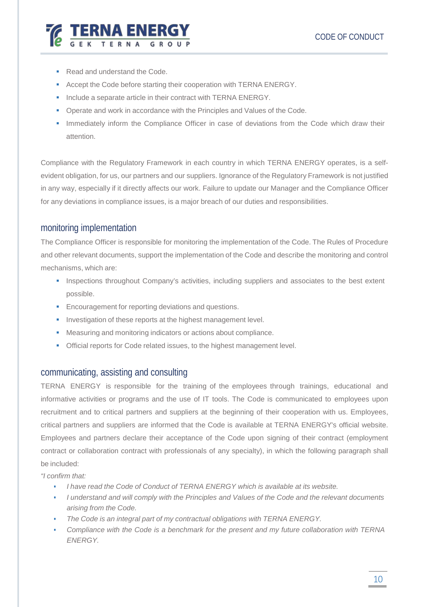

- Read and understand the Code.
- Accept the Code before starting their cooperation with TERNA ENERGY.
- **Include a separate article in their contract with TERNA ENERGY.**
- Operate and work in accordance with the Principles and Values of the Code.
- **Immediately inform the Compliance Officer in case of deviations from the Code which draw their** attention.

Compliance with the Regulatory Framework in each country in which TERNA ENERGY operates, is a selfevident obligation, for us, our partners and our suppliers. Ignorance of the Regulatory Framework is not justified in any way, especially if it directly affects our work. Failure to update our Manager and the Compliance Officer for any deviations in compliance issues, is a major breach of our duties and responsibilities.

# <span id="page-9-0"></span>monitoring implementation

The Compliance Officer is responsible for monitoring the implementation of the Code. The Rules of Procedure and other relevant documents, support the implementation of the Code and describe the monitoring and control mechanisms, which are:

- **Inspections throughout Company's activities, including suppliers and associates to the best extent** possible.
- **Encouragement for reporting deviations and questions.**
- Investigation of these reports at the highest management level.
- Measuring and monitoring indicators or actions about compliance.
- Official reports for Code related issues, to the highest management level.

# <span id="page-9-1"></span>communicating, assisting and consulting

TERNA ENERGY is responsible for the training of the employees through trainings, educational and informative activities or programs and the use of IT tools. The Code is communicated to employees upon recruitment and to critical partners and suppliers at the beginning of their cooperation with us. Employees, critical partners and suppliers are informed that the Code is available at TERNA ENERGY's official website. Employees and partners declare their acceptance of the Code upon signing of their contract (employment contract or collaboration contract with professionals of any specialty), in which the following paragraph shall be included:

*"I confirm that:*

- *I have read the Code of Conduct of TERNA ENERGY which is available at its website.*
- *I understand and will comply with the Principles and Values of the Code and the relevant documents arising from the Code.*
- *The Code is an integral part of my contractual obligations with TERNA ENERGY.*
- *Compliance with the Code is a benchmark for the present and my future collaboration with TERNA ENERGY.*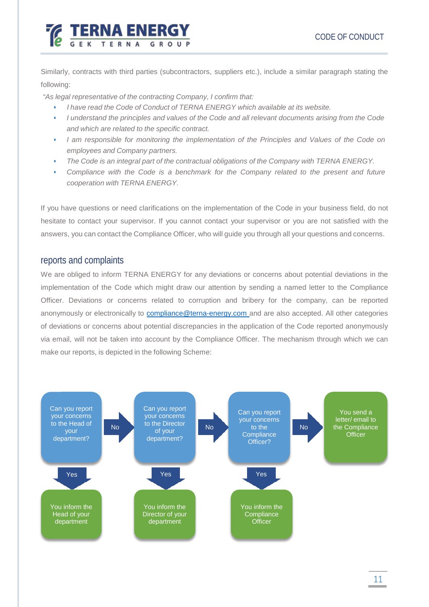

Similarly, contracts with third parties (subcontractors, suppliers etc.), include a similar paragraph stating the following:

*"As legal representative of the contracting Company, I confirm that:*

- *Ι have read the Code of Conduct of TERNA ENERGY which available at its website.*
- *I understand the principles and values of the Code and all relevant documents arising from the Code and which are related to the specific contract.*
- *I am responsible for monitoring the implementation of the Principles and Values of the Code on employees and Company partners.*
- *The Code is an integral part of the contractual obligations of the Company with TERNA ENERGY.*
- *Compliance with the Code is a benchmark for the Company related to the present and future cooperation with TERNA ENERGY.*

If you have questions or need clarifications on the implementation of the Code in your business field, do not hesitate to contact your supervisor. If you cannot contact your supervisor or you are not satisfied with the answers, you can contact the Compliance Officer, who will guide you through all your questions and concerns.

# <span id="page-10-0"></span>reports and complaints

We are obliged to inform TERNA ENERGY for any deviations or concerns about potential deviations in the implementation of the Code which might draw our attention by sending a named letter to the Compliance Officer. Deviations or concerns related to corruption and bribery for the company, can be reported anonymously or electronically to [compliance@terna-energy.com](mailto:compliance@terna-energy.com) and are also accepted. All other categories of deviations or concerns about potential discrepancies in the application of the Code reported anonymously via email, will not be taken into account by the Compliance Officer. The mechanism through which we can make our reports, is depicted in the following Scheme:

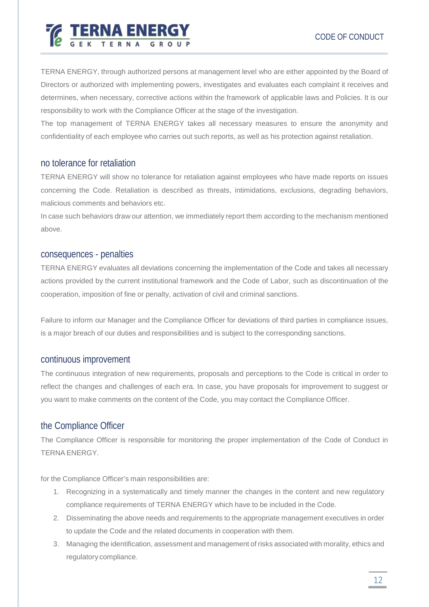

TERNA ENERGY, through authorized persons at management level who are either appointed by the Board of Directors or authorized with implementing powers, investigates and evaluates each complaint it receives and determines, when necessary, corrective actions within the framework of applicable laws and Policies. It is our responsibility to work with the Compliance Officer at the stage of the investigation.

The top management of TERNA ENERGY takes all necessary measures to ensure the anonymity and confidentiality of each employee who carries out such reports, as well as his protection against retaliation.

# <span id="page-11-0"></span>no tolerance for retaliation

TERNA ENERGY will show no tolerance for retaliation against employees who have made reports on issues concerning the Code. Retaliation is described as threats, intimidations, exclusions, degrading behaviors, malicious comments and behaviors etc.

In case such behaviors draw our attention, we immediately report them according to the mechanism mentioned above.

## consequences - penalties

TERNA ENERGY evaluates all deviations concerning the implementation of the Code and takes all necessary actions provided by the current institutional framework and the Code of Labor, such as discontinuation of the cooperation, imposition of fine or penalty, activation of civil and criminal sanctions.

Failure to inform our Manager and the Compliance Officer for deviations of third parties in compliance issues, is a major breach of our duties and responsibilities and is subject to the corresponding sanctions.

# <span id="page-11-1"></span>continuous improvement

The continuous integration of new requirements, proposals and perceptions to the Code is critical in order to reflect the changes and challenges of each era. In case, you have proposals for improvement to suggest or you want to make comments on the content of the Code, you may contact the Compliance Officer.

# <span id="page-11-2"></span>the Compliance Officer

The Compliance Officer is responsible for monitoring the proper implementation of the Code of Conduct in TERNA ENERGY.

for the Compliance Officer's main responsibilities are:

- 1. Recognizing in a systematically and timely manner the changes in the content and new regulatory compliance requirements of TERNA ENERGY which have to be included in the Code.
- 2. Disseminating the above needs and requirements to the appropriate management executives in order to update the Code and the related documents in cooperation with them.
- 3. Managing the identification, assessment and management of risks associated with morality, ethics and regulatory compliance.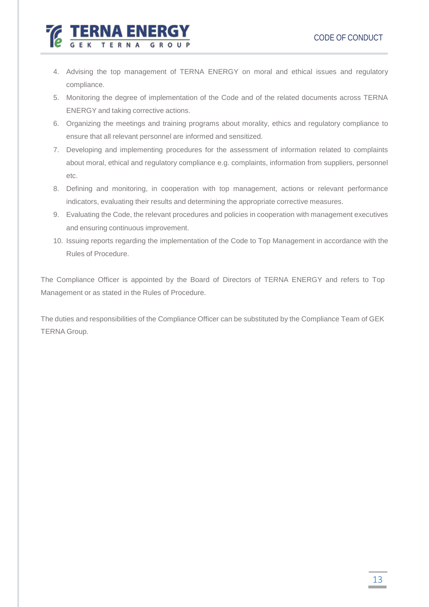4. Advising the top management of TERNA ENERGY on moral and ethical issues and regulatory compliance.

NA ENER

- 5. Monitoring the degree of implementation of the Code and of the related documents across TERNA ENERGY and taking corrective actions.
- 6. Organizing the meetings and training programs about morality, ethics and regulatory compliance to ensure that all relevant personnel are informed and sensitized.
- 7. Developing and implementing procedures for the assessment of information related to complaints about moral, ethical and regulatory compliance e.g. complaints, information from suppliers, personnel etc.
- 8. Defining and monitoring, in cooperation with top management, actions or relevant performance indicators, evaluating their results and determining the appropriate corrective measures.
- 9. Evaluating the Code, the relevant procedures and policies in cooperation with management executives and ensuring continuous improvement.
- 10. Issuing reports regarding the implementation of the Code to Top Management in accordance with the Rules of Procedure.

The Compliance Officer is appointed by the Board of Directors of TERNA ENERGY and refers to Top Management or as stated in the Rules of Procedure.

The duties and responsibilities of the Compliance Officer can be substituted by the Compliance Team of GEK TERNA Group.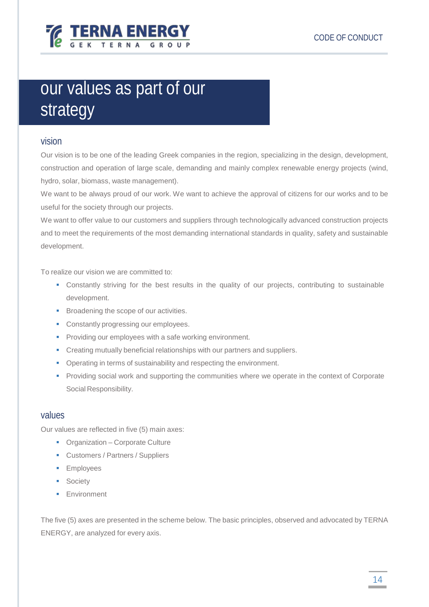

# <span id="page-13-0"></span>our values as part of our strategy

# <span id="page-13-1"></span>vision

Our vision is to be one of the leading Greek companies in the region, specializing in the design, development, construction and operation of large scale, demanding and mainly complex renewable energy projects (wind, hydro, solar, biomass, waste management).

We want to be always proud of our work. We want to achieve the approval of citizens for our works and to be useful for the society through our projects.

We want to offer value to our customers and suppliers through technologically advanced construction projects and to meet the requirements of the most demanding international standards in quality, safety and sustainable development.

To realize our vision we are committed to:

- Constantly striving for the best results in the quality of our projects, contributing to sustainable development.
- **Broadening the scope of our activities.**
- **Constantly progressing our employees.**
- **Providing our employees with a safe working environment.**
- Creating mutually beneficial relationships with our partners and suppliers.
- **Operating in terms of sustainability and respecting the environment.**
- **Providing social work and supporting the communities where we operate in the context of Corporate** Social Responsibility.

### <span id="page-13-2"></span>values

Our values are reflected in five (5) main axes:

- Organization Corporate Culture
- **Customers / Partners / Suppliers**
- **Employees**
- **Society**
- **Environment**

The five (5) axes are presented in the scheme below. The basic principles, observed and advocated by TERNA ENERGY, are analyzed for every axis.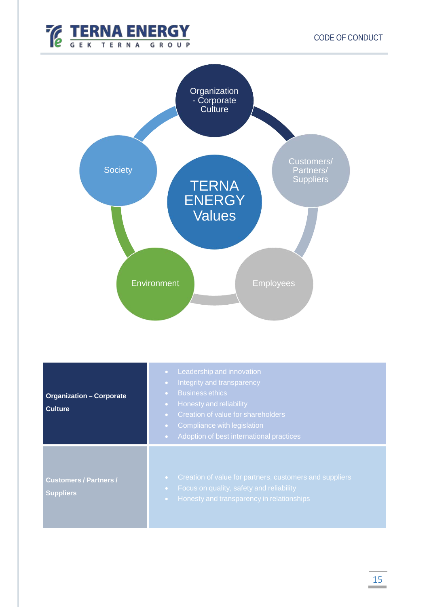



| <b>Organization - Corporate</b><br><b>Culture</b> | Leadership and innovation<br>Integrity and transparency<br><b>Business ethics</b><br><b>Honesty and reliability</b><br>Creation of value for shareholders<br>$\bullet$ .<br>Compliance with legislation<br>Adoption of best international practices<br>$\bullet$ |
|---------------------------------------------------|------------------------------------------------------------------------------------------------------------------------------------------------------------------------------------------------------------------------------------------------------------------|
| <b>Customers / Partners /</b><br><b>Suppliers</b> | Creation of value for partners, customers and suppliers<br>Focus on quality, safety and reliability<br>Honesty and transparency in relationships                                                                                                                 |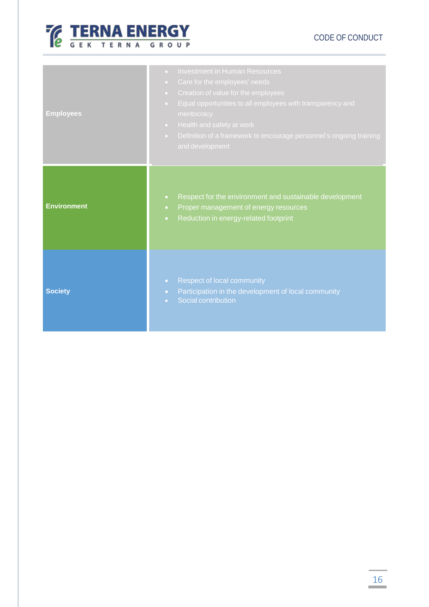

# CODE OF CONDUCT

| <b>Employees</b>   | <b>Investment in Human Resources</b><br>$\bullet$<br>Care for the employees' needs<br>$\bullet$<br>Creation of value for the employees<br>$\bullet$<br>Equal opportunities to all employees with transparency and<br>$\bullet$<br>meritocracy<br>Health and safety at work<br>$\bullet$<br>Definition of a framework to encourage personnel's ongoing training<br>$\bullet$ .<br>and development |
|--------------------|--------------------------------------------------------------------------------------------------------------------------------------------------------------------------------------------------------------------------------------------------------------------------------------------------------------------------------------------------------------------------------------------------|
| <b>Environment</b> | Respect for the environment and sustainable development<br>$\bullet$<br>Proper management of energy resources<br>$\bullet$<br>Reduction in energy-related footprint<br>$\bullet$                                                                                                                                                                                                                 |
| <b>Society</b>     | <b>Respect of local community</b><br>$\bullet$<br>Participation in the development of local community<br>$\bullet$ .<br>Social contribution<br>$\bullet$                                                                                                                                                                                                                                         |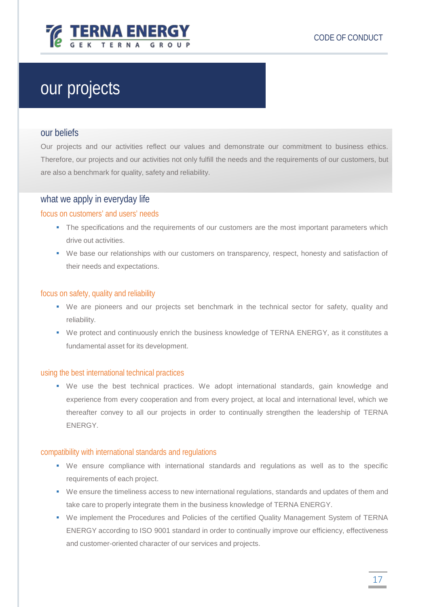

# <span id="page-16-0"></span>our projects

### <span id="page-16-1"></span>our beliefs

Our projects and our activities reflect our values and demonstrate our commitment to business ethics. Therefore, our projects and our activities not only fulfill the needs and the requirements of our customers, but are also a benchmark for quality, safety and reliability.

# <span id="page-16-2"></span>what we apply in everyday life

### <span id="page-16-3"></span>focus on customers' and users' needs

- The specifications and the requirements of our customers are the most important parameters which drive out activities.
- We base our relationships with our customers on transparency, respect, honesty and satisfaction of their needs and expectations.

### <span id="page-16-4"></span>focus on safety, quality and reliability

- We are pioneers and our projects set benchmark in the technical sector for safety, quality and reliability.
- We protect and continuously enrich the business knowledge of TERNA ENERGY, as it constitutes a fundamental asset for its development.

### <span id="page-16-5"></span>using the best international technical practices

 We use the best technical practices. We adopt international standards, gain knowledge and experience from every cooperation and from every project, at local and international level, which we thereafter convey to all our projects in order to continually strengthen the leadership of TERNA ENERGY.

### <span id="page-16-6"></span>compatibility with international standards and regulations

- We ensure compliance with international standards and regulations as well as to the specific requirements of each project.
- We ensure the timeliness access to new international regulations, standards and updates of them and take care to properly integrate them in the business knowledge of TERNA ENERGY.
- We implement the Procedures and Policies of the certified Quality Management System of TERNA ENERGY according to ISO 9001 standard in order to continually improve our efficiency, effectiveness and customer-oriented character of our services and projects.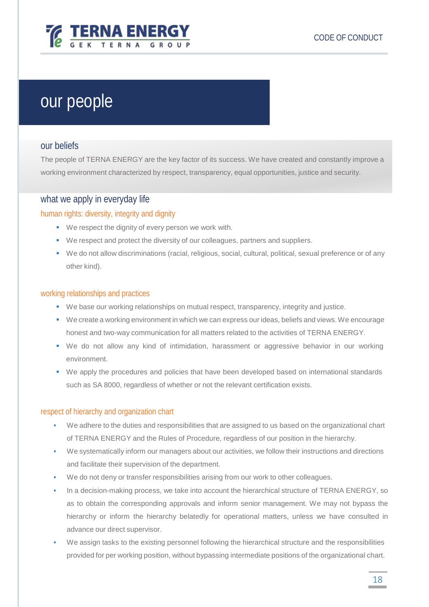

# <span id="page-17-0"></span>our people

# <span id="page-17-1"></span>our beliefs

The people of TERNA ENERGY are the key factor of its success. We have created and constantly improve a working environment characterized by respect, transparency, equal opportunities, justice and security.

# <span id="page-17-2"></span>what we apply in everyday life

## <span id="page-17-3"></span>human rights: diversity, integrity and dignity

- We respect the dignity of every person we work with.
- We respect and protect the diversity of our colleagues, partners and suppliers.
- We do not allow discriminations (racial, religious, social, cultural, political, sexual preference or of any other kind).

### <span id="page-17-4"></span>working relationships and practices

- We base our working relationships on mutual respect, transparency, integrity and justice.
- We create a working environment in which we can express our ideas, beliefs and views.We encourage honest and two-way communication for all matters related to the activities of TERNA ENERGY.
- We do not allow any kind of intimidation, harassment or aggressive behavior in our working environment.
- We apply the procedures and policies that have been developed based on international standards such as SA 8000, regardless of whether or not the relevant certification exists.

### <span id="page-17-5"></span>respect of hierarchy and organization chart

- We adhere to the duties and responsibilities that are assigned to us based on the organizational chart of TERNA ENERGY and the Rules of Procedure, regardless of our position in the hierarchy.
- We systematically inform our managers about our activities, we follow their instructions and directions and facilitate their supervision of the department.
- We do not deny or transfer responsibilities arising from our work to other colleagues.
- In a decision-making process, we take into account the hierarchical structure of TERNA ENERGY, so as to obtain the corresponding approvals and inform senior management. We may not bypass the hierarchy or inform the hierarchy belatedly for operational matters, unless we have consulted in advance our direct supervisor.
- We assign tasks to the existing personnel following the hierarchical structure and the responsibilities provided for per working position, without bypassing intermediate positions of the organizational chart.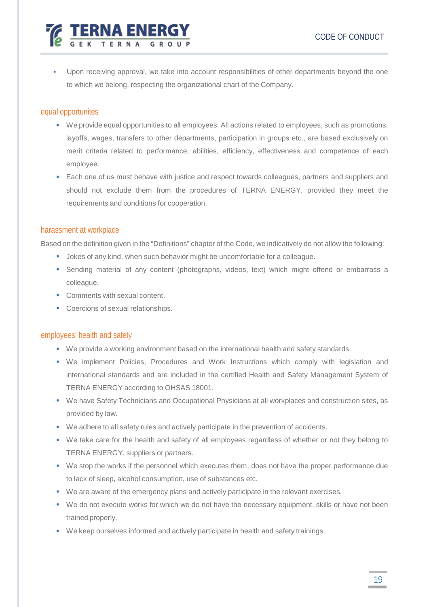Upon receiving approval, we take into account responsibilities of other departments beyond the one to which we belong, respecting the organizational chart of the Company.

### <span id="page-18-0"></span>equal opportunites

- We provide equal opportunities to all employees. All actions related to employees, such as promotions, layoffs, wages, transfers to other departments, participation in groups etc., are based exclusively on merit criteria related to performance, abilities, efficiency, effectiveness and competence of each employee.
- **Each one of us must behave with justice and respect towards colleagues, partners and suppliers and** should not exclude them from the procedures of TERNA ENERGY, provided they meet the requirements and conditions for cooperation.

### <span id="page-18-1"></span>harassment at workplace

Based on the definition given in the "Definitions" chapter of the Code, we indicatively do not allow the following:

- **Jokes of any kind, when such behavior might be uncomfortable for a colleague.**
- Sending material of any content (photographs, videos, text) which might offend or embarrass a colleague.
- Comments with sexual content.
- Coercions of sexual relationships.

**TERNA ENERG** 

### <span id="page-18-2"></span>employees' health and safety

- We provide a working environment based on the international health and safety standards.
- We implement Policies, Procedures and Work Instructions which comply with legislation and international standards and are included in the certified Health and Safety Management System of TERNA ENERGY according to OHSAS 18001.
- We have Safety Technicians and Occupational Physicians at all workplaces and construction sites, as provided by law.
- We adhere to all safety rules and actively participate in the prevention of accidents.
- We take care for the health and safety of all employees regardless of whether or not they belong to TERNA ENERGY, suppliers or partners.
- We stop the works if the personnel which executes them, does not have the proper performance due to lack of sleep, alcohol consumption, use of substances etc.
- We are aware of the emergency plans and actively participate in the relevant exercises.
- We do not execute works for which we do not have the necessary equipment, skills or have not been trained properly.
- We keep ourselves informed and actively participate in health and safety trainings.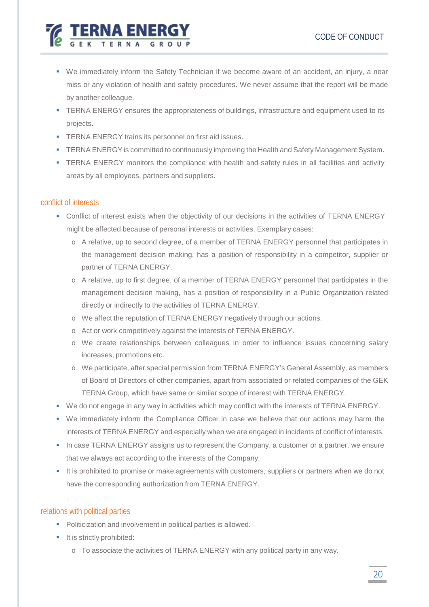

- We immediately inform the Safety Technician if we become aware of an accident, an injury, a near miss or any violation of health and safety procedures. We never assume that the report will be made by another colleague.
- **TERNA ENERGY ensures the appropriateness of buildings, infrastructure and equipment used to its** projects.
- **TERNA ENERGY trains its personnel on first aid issues.**
- **TERNA ENERGY** is committed to continuously improving the Health and Safety Management System.
- **TERNA ENERGY monitors the compliance with health and safety rules in all facilities and activity** areas by all employees, partners and suppliers.

### <span id="page-19-0"></span>conflict of interests

- Conflict of interest exists when the objectivity of our decisions in the activities of TERNA ENERGY might be affected because of personal interests or activities. Exemplary cases:
	- o A relative, up to second degree, of a member of TERNA ENERGY personnel that participates in the management decision making, has a position of responsibility in a competitor, supplier or partner of TERNA ENERGY.
	- o A relative, up to first degree, of a member of TERNA ENERGY personnel that participates in the management decision making, has a position of responsibility in a Public Organization related directly or indirectly to the activities of TERNA ENERGY.
	- o We affect the reputation of TERNA ENERGY negatively through our actions.
	- o Act or work competitively against the interests of TERNA ENERGY.
	- o We create relationships between colleagues in order to influence issues concerning salary increases, promotions etc.
	- o We participate, after special permission from TERNA ENERGY's General Assembly, as members of Board of Directors of other companies, apart from associated or related companies of the GEK TERNA Group, which have same or similar scope of interest with TERNA ENERGY.
- We do not engage in any way in activities which may conflict with the interests of TERNA ENERGY.
- We immediately inform the Compliance Officer in case we believe that our actions may harm the interests of TERNA ENERGY and especially when we are engaged in incidents of conflict of interests.
- In case TERNA ENERGY assigns us to represent the Company, a customer or a partner, we ensure that we always act according to the interests of the Company.
- It is prohibited to promise or make agreements with customers, suppliers or partners when we do not have the corresponding authorization from TERNA ENERGY.

## <span id="page-19-1"></span>relations with political parties

- Politicization and involvement in political parties is allowed.
- **It is strictly prohibited:** 
	- o To associate the activities of TERNA ENERGY with any political party in any way.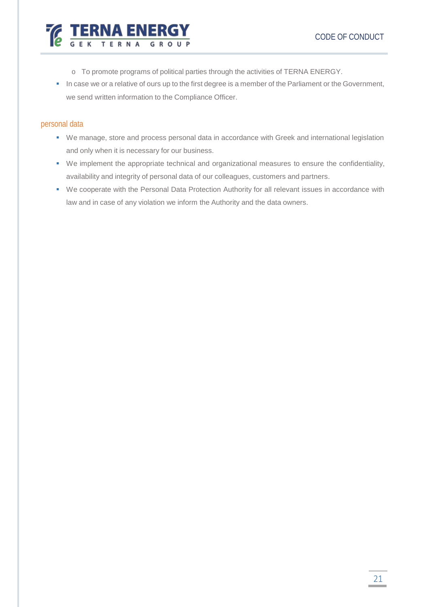

- o To promote programs of political parties through the activities of TERNA ENERGY.
- In case we or a relative of ours up to the first degree is a member of the Parliament or the Government, we send written information to the Compliance Officer.

### <span id="page-20-0"></span>personal data

- We manage, store and process personal data in accordance with Greek and international legislation and only when it is necessary for our business.
- We implement the appropriate technical and organizational measures to ensure the confidentiality, availability and integrity of personal data of our colleagues, customers and partners.
- We cooperate with the Personal Data Protection Authority for all relevant issues in accordance with law and in case of any violation we inform the Authority and the data owners.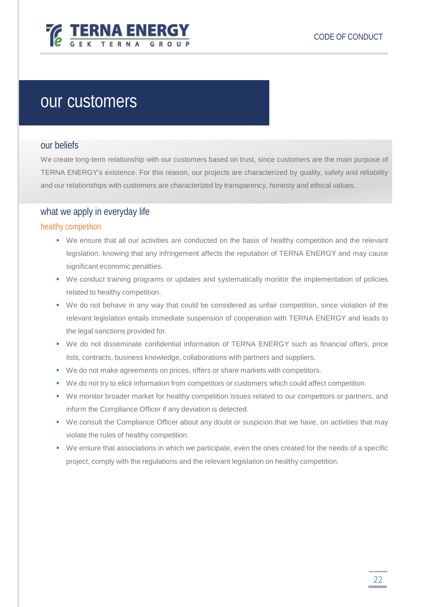

# <span id="page-21-0"></span>our customers

### <span id="page-21-1"></span>our beliefs

We create long-term relationship with our customers based on trust, since customers are the main purpose of TERNA ENERGY's existence. For this reason, our projects are characterized by quality, safety and reliability and our relationships with customers are characterized by transparency, honesty and ethical values.

# <span id="page-21-2"></span>what we apply in everyday life

### <span id="page-21-3"></span>healthy competition

- We ensure that all our activities are conducted on the basis of healthy competition and the relevant legislation, knowing that any infringement affects the reputation of TERNA ENERGY and may cause significant economic penalties.
- We conduct training programs or updates and systematically monitor the implementation of policies related to healthy competition.
- We do not behave in any way that could be considered as unfair competition, since violation of the relevant legislation entails immediate suspension of cooperation with TERNA ENERGY and leads to the legal sanctions provided for.
- We do not disseminate confidential information of TERNA ENERGY such as financial offers, price lists, contracts, business knowledge, collaborations with partners and suppliers.
- We do not make agreements on prices, offers or share markets with competitors.
- We do not try to elicit information from competitors or customers which could affect competition.
- We monitor broader market for healthy competition issues related to our competitors or partners, and inform the Compliance Officer if any deviation is detected.
- We consult the Compliance Officer about any doubt or suspicion that we have, on activities that may violate the rules of healthy competition.
- We ensure that associations in which we participate, even the ones created for the needs of a specific project, comply with the regulations and the relevant legislation on healthy competition.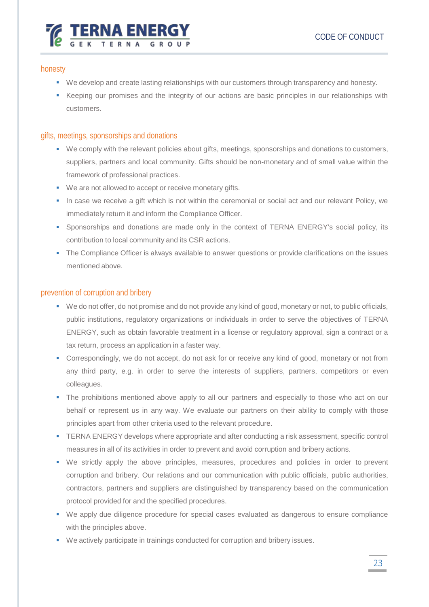# **EXAMPLE TERNA ENERG**

# <span id="page-22-0"></span>honesty

- We develop and create lasting relationships with our customers through transparency and honesty.
- Keeping our promises and the integrity of our actions are basic principles in our relationships with customers.

# <span id="page-22-1"></span>gifts, meetings, sponsorships and donations

- We comply with the relevant policies about gifts, meetings, sponsorships and donations to customers, suppliers, partners and local community. Gifts should be non-monetary and of small value within the framework of professional practices.
- We are not allowed to accept or receive monetary gifts.
- In case we receive a gift which is not within the ceremonial or social act and our relevant Policy, we immediately return it and inform the Compliance Officer.
- Sponsorships and donations are made only in the context of TERNA ENERGY's social policy, its contribution to local community and its CSR actions.
- The Compliance Officer is always available to answer questions or provide clarifications on the issues mentioned above.

# <span id="page-22-2"></span>prevention of corruption and bribery

- We do not offer, do not promise and do not provide any kind of good, monetary or not, to public officials, public institutions, regulatory organizations or individuals in order to serve the objectives of TERNA ENERGY, such as obtain favorable treatment in a license or regulatory approval, sign a contract or a tax return, process an application in a faster way.
- **Correspondingly, we do not accept, do not ask for or receive any kind of good, monetary or not from** any third party, e.g. in order to serve the interests of suppliers, partners, competitors or even colleagues.
- The prohibitions mentioned above apply to all our partners and especially to those who act on our behalf or represent us in any way. We evaluate our partners on their ability to comply with those principles apart from other criteria used to the relevant procedure.
- **TERNA ENERGY develops where appropriate and after conducting a risk assessment, specific control** measures in all of its activities in order to prevent and avoid corruption and bribery actions.
- We strictly apply the above principles, measures, procedures and policies in order to prevent corruption and bribery. Our relations and our communication with public officials, public authorities, contractors, partners and suppliers are distinguished by transparency based on the communication protocol provided for and the specified procedures.
- We apply due diligence procedure for special cases evaluated as dangerous to ensure compliance with the principles above.
- We actively participate in trainings conducted for corruption and bribery issues.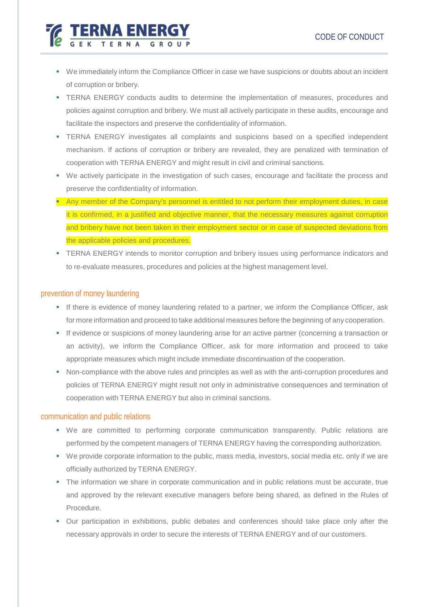

- We immediately inform the Compliance Officer in case we have suspicions or doubts about an incident of corruption or bribery.
- **TERNA ENERGY conducts audits to determine the implementation of measures, procedures and** policies against corruption and bribery. We must all actively participate in these audits, encourage and facilitate the inspectors and preserve the confidentiality of information.
- TERNA ENERGY investigates all complaints and suspicions based on a specified independent mechanism. If actions of corruption or bribery are revealed, they are penalized with termination of cooperation with TERNA ENERGY and might result in civil and criminal sanctions.
- We actively participate in the investigation of such cases, encourage and facilitate the process and preserve the confidentiality of information.
- **Any member of the Company's personnel is entitled to not perform their employment duties, in case** it is confirmed, in a justified and objective manner, that the necessary measures against corruption and bribery have not been taken in their employment sector or in case of suspected deviations from the applicable policies and procedures.
- **TERNA ENERGY intends to monitor corruption and bribery issues using performance indicators and** to re-evaluate measures, procedures and policies at the highest management level.

## <span id="page-23-0"></span>prevention of money laundering

- If there is evidence of money laundering related to a partner, we inform the Compliance Officer, ask for more information and proceed to take additional measures before the beginning of any cooperation.
- If evidence or suspicions of money laundering arise for an active partner (concerning a transaction or an activity), we inform the Compliance Officer, ask for more information and proceed to take appropriate measures which might include immediate discontinuation of the cooperation.
- Non-compliance with the above rules and principles as well as with the anti-corruption procedures and policies of TERNA ENERGY might result not only in administrative consequences and termination of cooperation with TERNA ENERGY but also in criminal sanctions.

### <span id="page-23-1"></span>communication and public relations

- We are committed to performing corporate communication transparently. Public relations are performed by the competent managers of TERNA ENERGY having the corresponding authorization.
- We provide corporate information to the public, mass media, investors, social media etc. only if we are officially authorized by TERNA ENERGY.
- The information we share in corporate communication and in public relations must be accurate, true and approved by the relevant executive managers before being shared, as defined in the Rules of Procedure.
- Our participation in exhibitions, public debates and conferences should take place only after the necessary approvals in order to secure the interests of TERNA ENERGY and of our customers.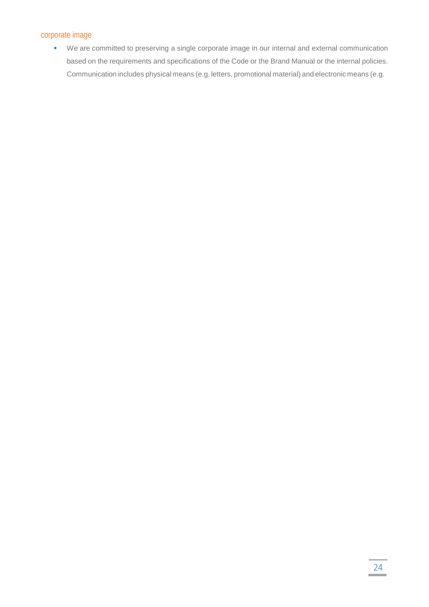## <span id="page-24-0"></span>corporate image

 We are committed to preserving a single corporate image in our internal and external communication based on the requirements and specifications of the Code or the Brand Manual or the internal policies. Communication includes physical means (e.g. letters, promotional material) and electronic means (e.g.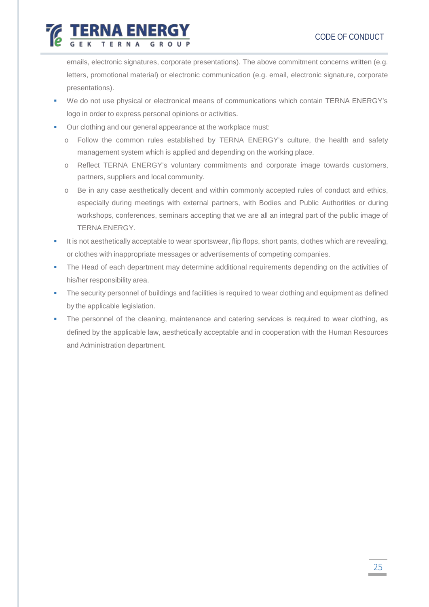emails, electronic signatures, corporate presentations). The above commitment concerns written (e.g. letters, promotional material) or electronic communication (e.g. email, electronic signature, corporate presentations).

- We do not use physical or electronical means of communications which contain TERNA ENERGY's logo in order to express personal opinions or activities.
- **•** Our clothing and our general appearance at the workplace must:

ERNA ENER

- o Follow the common rules established by TERNA ENERGY's culture, the health and safety management system which is applied and depending on the working place.
- o Reflect TERNA ENERGY's voluntary commitments and corporate image towards customers, partners, suppliers and local community.
- o Be in any case aesthetically decent and within commonly accepted rules of conduct and ethics, especially during meetings with external partners, with Bodies and Public Authorities or during workshops, conferences, seminars accepting that we are all an integral part of the public image of TERNA ENERGY.
- It is not aesthetically acceptable to wear sportswear, flip flops, short pants, clothes which are revealing, or clothes with inappropriate messages or advertisements of competing companies.
- The Head of each department may determine additional requirements depending on the activities of his/her responsibility area.
- **The security personnel of buildings and facilities is required to wear clothing and equipment as defined** by the applicable legislation.
- The personnel of the cleaning, maintenance and catering services is required to wear clothing, as defined by the applicable law, aesthetically acceptable and in cooperation with the Human Resources and Administration department.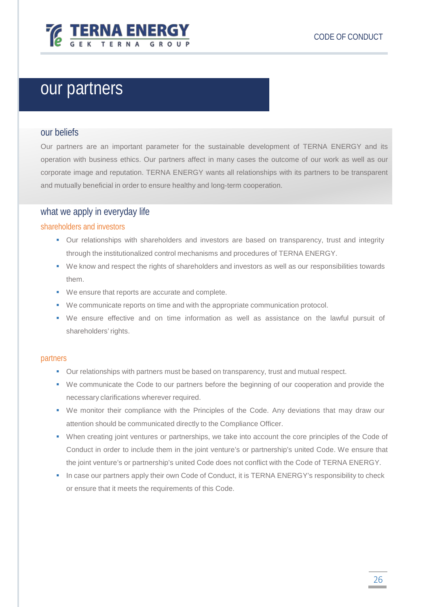

# <span id="page-26-0"></span>our partners

### <span id="page-26-1"></span>our beliefs

Our partners are an important parameter for the sustainable development of TERNA ENERGY and its operation with business ethics. Our partners affect in many cases the outcome of our work as well as our corporate image and reputation. TERNA ENERGY wants all relationships with its partners to be transparent and mutually beneficial in order to ensure healthy and long-term cooperation.

## <span id="page-26-2"></span>what we apply in everyday life

### <span id="page-26-3"></span>shareholders and investors

- Our relationships with shareholders and investors are based on transparency, trust and integrity through the institutionalized control mechanisms and procedures of TERNA ENERGY.
- We know and respect the rights of shareholders and investors as well as our responsibilities towards them.
- We ensure that reports are accurate and complete.
- We communicate reports on time and with the appropriate communication protocol.
- We ensure effective and on time information as well as assistance on the lawful pursuit of shareholders'rights.

### <span id="page-26-4"></span>partners

- Our relationships with partners must be based on transparency, trust and mutual respect.
- We communicate the Code to our partners before the beginning of our cooperation and provide the necessary clarifications wherever required.
- We monitor their compliance with the Principles of the Code. Any deviations that may draw our attention should be communicated directly to the Compliance Officer.
- When creating joint ventures or partnerships, we take into account the core principles of the Code of Conduct in order to include them in the joint venture's or partnership's united Code. We ensure that the joint venture's or partnership's united Code does not conflict with the Code of TERNA ENERGY.
- In case our partners apply their own Code of Conduct, it is TERNA ENERGY's responsibility to check or ensure that it meets the requirements of this Code.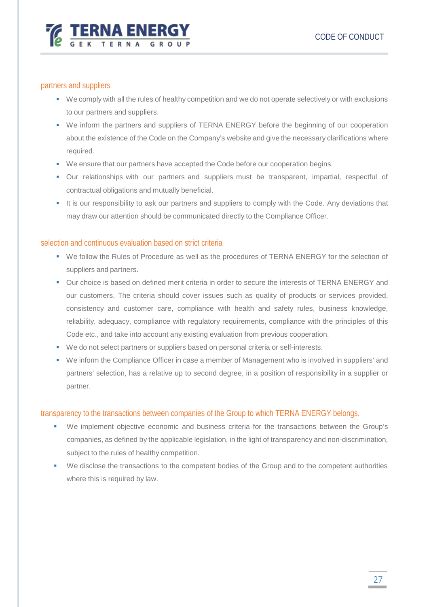

### <span id="page-27-0"></span>partners and suppliers

- We comply with all the rules of healthy competition and we do not operate selectively or with exclusions to our partners and suppliers.
- We inform the partners and suppliers of TERNA ENERGY before the beginning of our cooperation about the existence of the Code on the Company's website and give the necessary clarifications where required.
- We ensure that our partners have accepted the Code before our cooperation begins.
- Our relationships with our partners and suppliers must be transparent, impartial, respectful of contractual obligations and mutually beneficial.
- It is our responsibility to ask our partners and suppliers to comply with the Code. Any deviations that may draw our attention should be communicated directly to the Compliance Officer.

### <span id="page-27-1"></span>selection and continuous evaluation based on strict criteria

- We follow the Rules of Procedure as well as the procedures of TERNA ENERGY for the selection of suppliers and partners.
- Our choice is based on defined merit criteria in order to secure the interests of TERNA ENERGY and our customers. The criteria should cover issues such as quality of products or services provided, consistency and customer care, compliance with health and safety rules, business knowledge, reliability, adequacy, compliance with regulatory requirements, compliance with the principles of this Code etc., and take into account any existing evaluation from previous cooperation.
- We do not select partners or suppliers based on personal criteria or self-interests.
- We inform the Compliance Officer in case a member of Management who is involved in suppliers' and partners' selection, has a relative up to second degree, in a position of responsibility in a supplier or partner.

### <span id="page-27-2"></span>transparency to the transactions between companies of the Group to which TERNA ENERGY belongs.

- We implement objective economic and business criteria for the transactions between the Group's companies, as defined by the applicable legislation, in the light of transparency and non-discrimination, subject to the rules of healthy competition.
- We disclose the transactions to the competent bodies of the Group and to the competent authorities where this is required by law.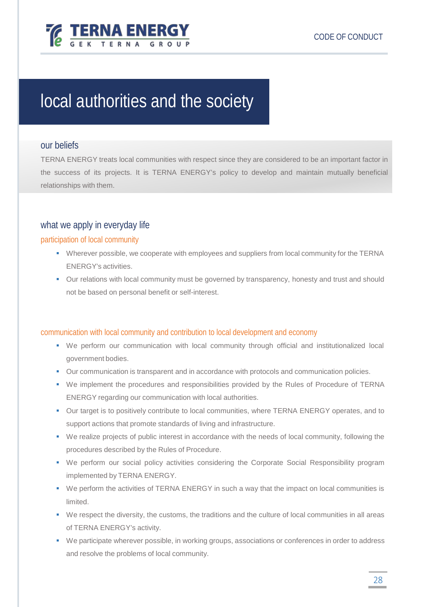

# <span id="page-28-0"></span>local authorities and the society

## <span id="page-28-1"></span>our beliefs

TERNA ENERGY treats local communities with respect since they are considered to be an important factor in the success of its projects. It is TERNA ENERGY's policy to develop and maintain mutually beneficial relationships with them.

# <span id="page-28-2"></span>what we apply in everyday life

### <span id="page-28-3"></span>participation of local community

- Wherever possible, we cooperate with employees and suppliers from local community for the TERNA ENERGY's activities.
- Our relations with local community must be governed by transparency, honesty and trust and should not be based on personal benefit or self-interest.

## <span id="page-28-4"></span>communication with local community and contribution to local development and economy

- We perform our communication with local community through official and institutionalized local government bodies.
- Our communication is transparent and in accordance with protocols and communication policies.
- We implement the procedures and responsibilities provided by the Rules of Procedure of TERNA ENERGY regarding our communication with local authorities.
- Our target is to positively contribute to local communities, where TERNA ENERGY operates, and to support actions that promote standards of living and infrastructure.
- We realize projects of public interest in accordance with the needs of local community, following the procedures described by the Rules of Procedure.
- We perform our social policy activities considering the Corporate Social Responsibility program implemented by TERNA ENERGY.
- We perform the activities of TERNA ENERGY in such a way that the impact on local communities is limited.
- We respect the diversity, the customs, the traditions and the culture of local communities in all areas of TERNA ENERGY's activity.
- We participate wherever possible, in working groups, associations or conferences in order to address and resolve the problems of local community.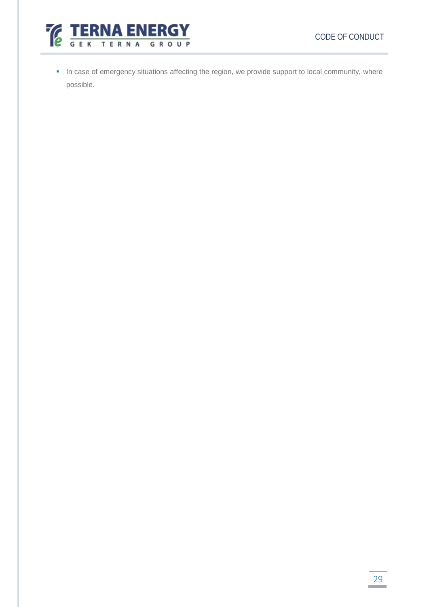

**In case of emergency situations affecting the region, we provide support to local community, where** possible.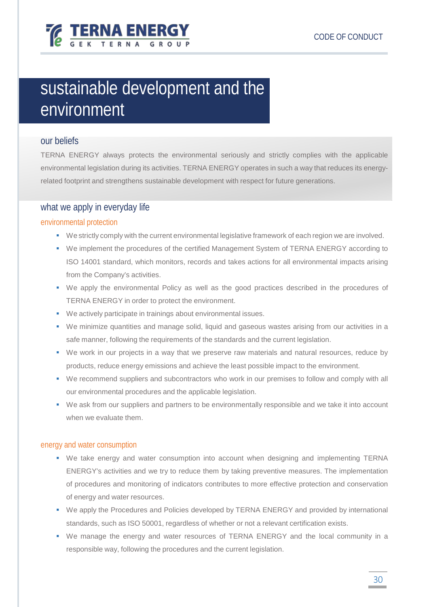

# <span id="page-30-0"></span>sustainable development and the environment

# <span id="page-30-1"></span>our beliefs

TERNA ENERGY always protects the environmental seriously and strictly complies with the applicable environmental legislation during its activities. TERNA ENERGY operates in such a way that reduces its energyrelated footprint and strengthens sustainable development with respect for future generations.

## <span id="page-30-2"></span>what we apply in everyday life

### <span id="page-30-3"></span>environmental protection

- We strictly comply with the current environmental legislative framework of each region we are involved.
- We implement the procedures of the certified Management System of TERNA ENERGY according to ISO 14001 standard, which monitors, records and takes actions for all environmental impacts arising from the Company's activities.
- We apply the environmental Policy as well as the good practices described in the procedures of TERNA ENERGY in order to protect the environment.
- We actively participate in trainings about environmental issues.
- We minimize quantities and manage solid, liquid and gaseous wastes arising from our activities in a safe manner, following the requirements of the standards and the current legislation.
- We work in our projects in a way that we preserve raw materials and natural resources, reduce by products, reduce energy emissions and achieve the least possible impact to the environment.
- We recommend suppliers and subcontractors who work in our premises to follow and comply with all our environmental procedures and the applicable legislation.
- We ask from our suppliers and partners to be environmentally responsible and we take it into account when we evaluate them.

### <span id="page-30-4"></span>energy and water consumption

- We take energy and water consumption into account when designing and implementing TERNA ENERGY's activities and we try to reduce them by taking preventive measures. The implementation of procedures and monitoring of indicators contributes to more effective protection and conservation of energy and water resources.
- We apply the Procedures and Policies developed by TERNA ENERGY and provided by international standards, such as ISO 50001, regardless of whether or not a relevant certification exists.
- We manage the energy and water resources of TERNA ENERGY and the local community in a responsible way, following the procedures and the current legislation.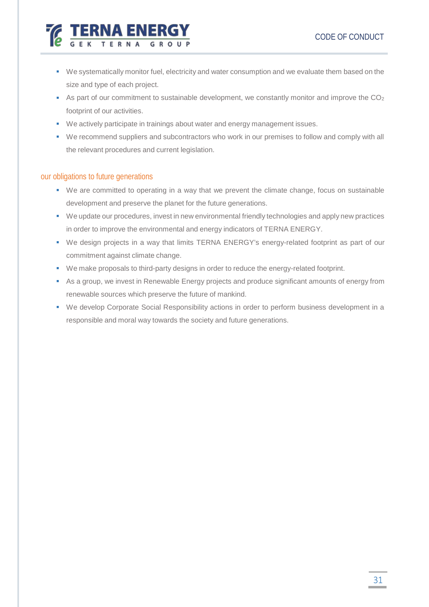- We systematically monitor fuel, electricity and water consumption and we evaluate them based on the size and type of each project.
- As part of our commitment to sustainable development, we constantly monitor and improve the  $CO<sub>2</sub>$ footprint of our activities.
- We actively participate in trainings about water and energy management issues.
- We recommend suppliers and subcontractors who work in our premises to follow and comply with all the relevant procedures and current legislation.

### <span id="page-31-0"></span>our obligations to future generations

**TERNA ENER** 

- We are committed to operating in a way that we prevent the climate change, focus on sustainable development and preserve the planet for the future generations.
- We update our procedures, invest in new environmental friendly technologies and apply new practices in order to improve the environmental and energy indicators of TERNA ENERGY.
- We design projects in a way that limits TERNA ENERGY's energy-related footprint as part of our commitment against climate change.
- We make proposals to third-party designs in order to reduce the energy-related footprint.
- As a group, we invest in Renewable Energy projects and produce significant amounts of energy from renewable sources which preserve the future of mankind.
- We develop Corporate Social Responsibility actions in order to perform business development in a responsible and moral way towards the society and future generations.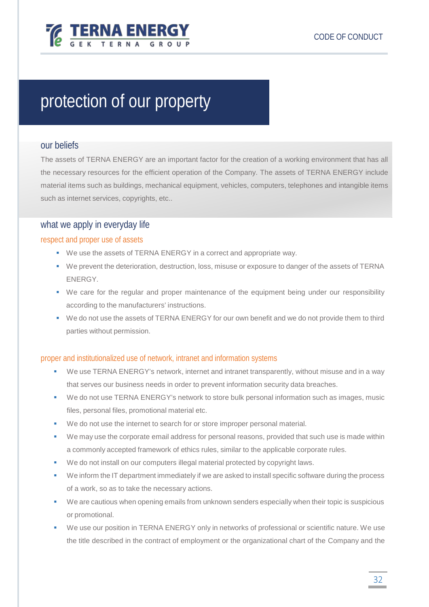

# <span id="page-32-0"></span>protection of our property

### <span id="page-32-1"></span>our beliefs

The assets of TERNA ENERGY are an important factor for the creation of a working environment that has all the necessary resources for the efficient operation of the Company. The assets of TERNA ENERGY include material items such as buildings, mechanical equipment, vehicles, computers, telephones and intangible items such as internet services, copyrights, etc..

## <span id="page-32-2"></span>what we apply in everyday life

### <span id="page-32-3"></span>respect and proper use of assets

- We use the assets of TERNA ENERGY in a correct and appropriate way.
- We prevent the deterioration, destruction, loss, misuse or exposure to danger of the assets of TERNA ENERGY.
- We care for the regular and proper maintenance of the equipment being under our responsibility according to the manufacturers' instructions.
- We do not use the assets of TERNA ENERGY for our own benefit and we do not provide them to third parties without permission.

## <span id="page-32-4"></span>proper and institutionalized use of network, intranet and information systems

- We use TERNA ENERGY's network, internet and intranet transparently, without misuse and in a way that serves our business needs in order to prevent information security data breaches.
- We do not use TERNA ENERGY's network to store bulk personal information such as images, music files, personal files, promotional material etc.
- We do not use the internet to search for or store improper personal material.
- We may use the corporate email address for personal reasons, provided that such use is made within a commonly accepted framework of ethics rules, similar to the applicable corporate rules.
- We do not install on our computers illegal material protected by copyright laws.
- We inform the IT department immediately if we are asked to install specific software during the process of a work, so as to take the necessary actions.
- We are cautious when opening emails from unknown senders especially when their topic is suspicious or promotional.
- We use our position in TERNA ENERGY only in networks of professional or scientific nature. We use the title described in the contract of employment or the organizational chart of the Company and the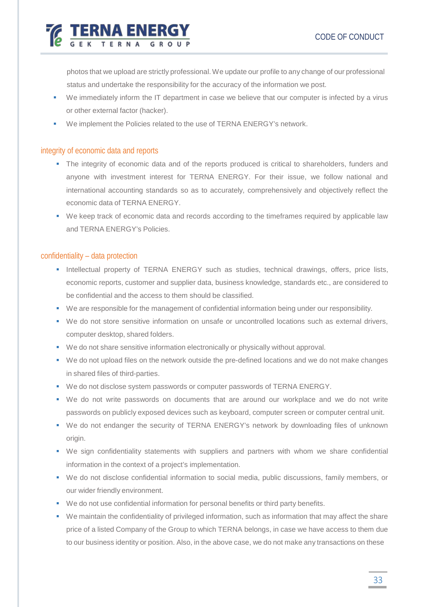photos that we upload are strictly professional. We update our profile to any change of our professional status and undertake the responsibility for the accuracy of the information we post.

- We immediately inform the IT department in case we believe that our computer is infected by a virus or other external factor (hacker).
- We implement the Policies related to the use of TERNA ENERGY's network.

### <span id="page-33-0"></span>integrity of economic data and reports

**TERNA ENERGY** 

- The integrity of economic data and of the reports produced is critical to shareholders, funders and anyone with investment interest for TERNA ENERGY. For their issue, we follow national and international accounting standards so as to accurately, comprehensively and objectively reflect the economic data of TERNA ENERGY.
- We keep track of economic data and records according to the timeframes required by applicable law and TERNA ENERGY's Policies.

### <span id="page-33-1"></span>confidentiality – data protection

- **Intellectual property of TERNA ENERGY such as studies, technical drawings, offers, price lists,** economic reports, customer and supplier data, business knowledge, standards etc., are considered to be confidential and the access to them should be classified.
- We are responsible for the management of confidential information being under our responsibility.
- We do not store sensitive information on unsafe or uncontrolled locations such as external drivers, computer desktop, shared folders.
- We do not share sensitive information electronically or physically without approval.
- We do not upload files on the network outside the pre-defined locations and we do not make changes in shared files of third-parties.
- We do not disclose system passwords or computer passwords of TERNA ENERGY.
- We do not write passwords on documents that are around our workplace and we do not write passwords on publicly exposed devices such as keyboard, computer screen or computer central unit.
- We do not endanger the security of TERNA ENERGY's network by downloading files of unknown origin.
- We sign confidentiality statements with suppliers and partners with whom we share confidential information in the context of a project's implementation.
- We do not disclose confidential information to social media, public discussions, family members, or our wider friendly environment.
- We do not use confidential information for personal benefits or third party benefits.
- We maintain the confidentiality of privileged information, such as information that may affect the share price of a listed Company of the Group to which TERNA belongs, in case we have access to them due to our business identity or position. Also, in the above case, we do not make any transactions on these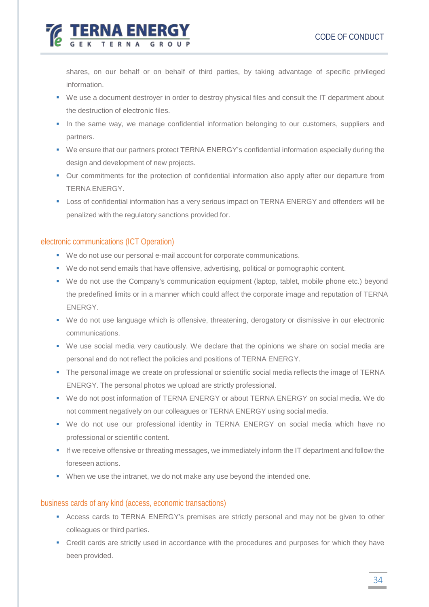shares, on our behalf or on behalf of third parties, by taking advantage of specific privileged information.

- We use a document destroyer in order to destroy physical files and consult the IT department about the destruction of electrοnic files.
- In the same way, we manage confidential information belonging to our customers, suppliers and partners.
- We ensure that our partners protect TERNA ENERGY's confidential information especially during the design and development of new projects.
- Our commitments for the protection of confidential information also apply after our departure from TERNA ENERGY.
- Loss of confidential information has a very serious impact on TERNA ENERGY and offenders will be penalized with the regulatory sanctions provided for.

### <span id="page-34-0"></span>electronic communications (ICT Operation)

**EXAMPLE TERNA ENERG** 

- We do not use our personal e-mail account for corporate communications.
- We do not send emails that have offensive, advertising, political or pornographic content.
- We do not use the Company's communication equipment (laptop, tablet, mobile phone etc.) beyond the predefined limits or in a manner which could affect the corporate image and reputation of TERNA ENERGY.
- We do not use language which is offensive, threatening, derogatory or dismissive in our electronic communications.
- We use social media very cautiously. We declare that the opinions we share on social media are personal and do not reflect the policies and positions of TERNA ENERGY.
- The personal image we create on professional or scientific social media reflects the image of TERNA ENERGY. The personal photos we upload are strictly professional.
- We do not post information of TERNA ENERGY or about TERNA ENERGY on social media. We do not comment negatively on our colleagues or TERNA ENERGY using social media.
- We do not use our professional identity in TERNA ENERGY on social media which have no professional or scientific content.
- If we receive offensive or threating messages, we immediately inform the IT department and follow the foreseen actions.
- When we use the intranet, we do not make any use beyond the intended one.

### <span id="page-34-1"></span>business cards of any kind (access, economic transactions)

- Access cards to TERNA ENERGY's premises are strictly personal and may not be given to other colleagues or third parties.
- Credit cards are strictly used in accordance with the procedures and purposes for which they have been provided.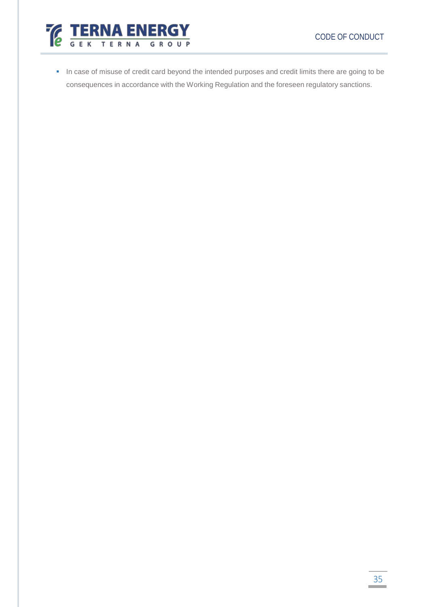

In case of misuse of credit card beyond the intended purposes and credit limits there are going to be consequences in accordance with the Working Regulation and the foreseen regulatory sanctions.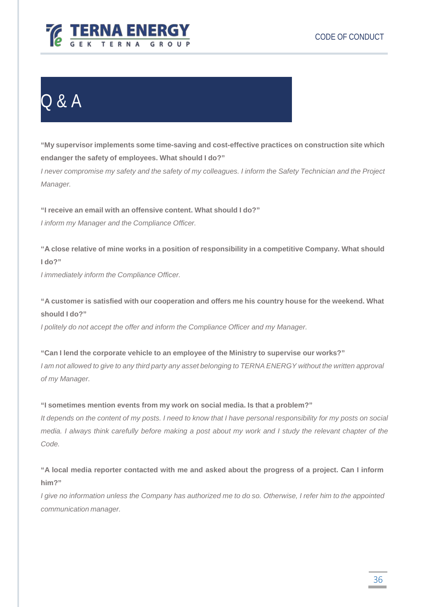

# <span id="page-36-0"></span>Q & A

*of my Manager.*

**"My supervisor implements some time-saving and cost-effective practices on construction site which endanger the safety of employees. What should I do?"**

I never compromise my safety and the safety of my colleagues. I inform the Safety Technician and the Project *Manager.*

**"I receive an email with an offensive content. What should I do?"** *I inform my Manager and the Compliance Officer.*

**"Α close relative of mine works in a position of responsibility in a competitive Company. What should I do?"**

*I immediately inform the Compliance Officer.*

**"A customer is satisfied with our cooperation and offers me his country house for the weekend. What should I do?"**

*I politely do not accept the offer and inform the Compliance Officer and my Manager.*

**"Can I lend the corporate vehicle to an employee of the Ministry to supervise our works?"** I am not allowed to give to any third party any asset belonging to TERNA ENERGY without the written approval

**"I sometimes mention events from my work on social media. Is that a problem?"**

It depends on the content of my posts. I need to know that I have personal responsibility for my posts on social media. I always think carefully before making a post about my work and I study the relevant chapter of the *Code.*

**"A local media reporter contacted with me and asked about the progress of a project. Can I inform him?"**

I give no information unless the Company has authorized me to do so. Otherwise, I refer him to the appointed *communication manager.*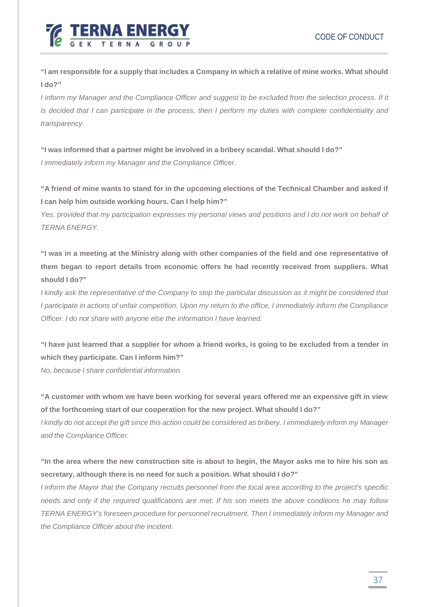

"I am responsible for a supply that includes a Company in which a relative of mine works. What should **I do?"**

I inform my Manager and the Compliance Officer and suggest to be excluded from the selection process. If it is decided that I can participate in the process, then I perform my duties with complete confidentiality and *transparency.*

**"I was informed that a partner might be involved in a bribery scandal. What should I do?"** *I immediately inform my Manager and the Compliance Officer.*

"A friend of mine wants to stand for in the upcoming elections of the Technical Chamber and asked if **I can help him outside working hours. Can I help him?"**

Yes, provided that my participation expresses my personal views and positions and I do not work on behalf of *TERNA ENERGY.*

"I was in a meeting at the Ministry along with other companies of the field and one representative of **them began to report details from economic offers he had recently received from suppliers. What should I do?"**

I kindly ask the representative of the Company to stop the particular discussion as it might be considered that I participate in actions of unfair competition. Upon my return to the office, I immediately inform the Compliance *Officer. I do not share with anyone else the information I have learned.*

**"I have just learned that a supplier for whom a friend works, is going to be excluded from a tender in which they participate. Can I inform him?"**

*No, because I share confidential information.*

**"A customer with whom we have been working for several years offered me an expensive gift in view of the forthcoming start of our cooperation for the new project. What should I do?"**

I kindly do not accept the gift since this action could be considered as bribery. I immediately inform my Manager *and the Compliance Officer.*

"In the area where the new construction site is about to begin, the Mayor asks me to hire his son as **secretary, although there is no need for such a position. What should I do?"**

I inform the Mayor that the Company recruits personnel from the local area according to the project's specific needs and only if the required qualifications are met. If his son meets the above conditions he may follow *TERNA ENERGY's foreseen procedure for personnel recruitment. Then I immediately inform my Manager and the Compliance Officer about the incident.*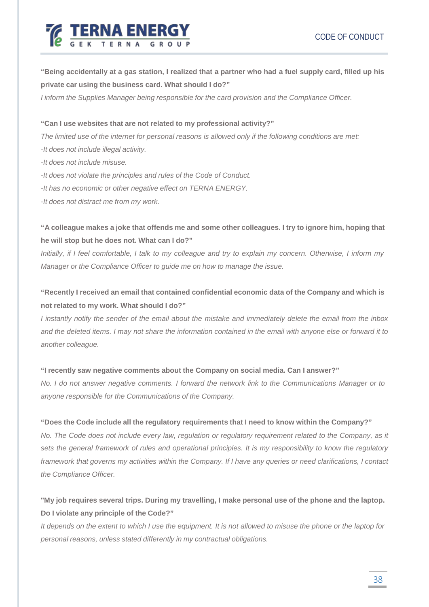

# "Being accidentally at a gas station, I realized that a partner who had a fuel supply card, filled up his **private car using the business card. What should I do?"**

*I inform the Supplies Manager being responsible for the card provision and the Compliance Officer.*

**"Can I use websites that are not related to my professional activity?"**

The limited use of the internet for personal reasons is allowed only if the following conditions are met:

*-It does not include illegal activity.*

*-It does not include misuse.*

*-It does not violate the principles and rules of the Code of Conduct.*

*-It has no economic or other negative effect on TERNA ENERGY.*

*-It does not distract me from my work.*

"A colleague makes a joke that offends me and some other colleagues. I try to ignore him, hoping that **he will stop but he does not. What can I do?"**

Initially, if I feel comfortable, I talk to my colleague and try to explain my concern. Otherwise, I inform my *Manager or the Compliance Officer to guide me on how to manage the issue.*

**"Recently I received an email that contained confidential economic data of the Company and which is not related to my work. What should I do?"**

I instantly notify the sender of the email about the mistake and immediately delete the email from the inbox and the deleted items. I may not share the information contained in the email with anyone else or forward it to *another colleague.*

### **"I recently saw negative comments about the Company on social media. Can I answer?"**

No. I do not answer negative comments. I forward the network link to the Communications Manager or to *anyone responsible for the Communications of the Company.*

### **"Does the Code include all the regulatory requirements that I need to know within the Company?"**

*No. The Code does not include every law, regulation or regulatory requirement related to the Company, as it* sets the general framework of rules and operational principles. It is my responsibility to know the regulatory framework that governs my activities within the Company. If I have any queries or need clarifications, I contact *the Compliance Officer.*

# **"My job requires several trips. During my travelling, I make personal use of the phone and the laptop. Do I violate any principle of the Code?"**

It depends on the extent to which I use the equipment. It is not allowed to misuse the phone or the laptop for *personal reasons, unless stated differently in my contractual obligations.*